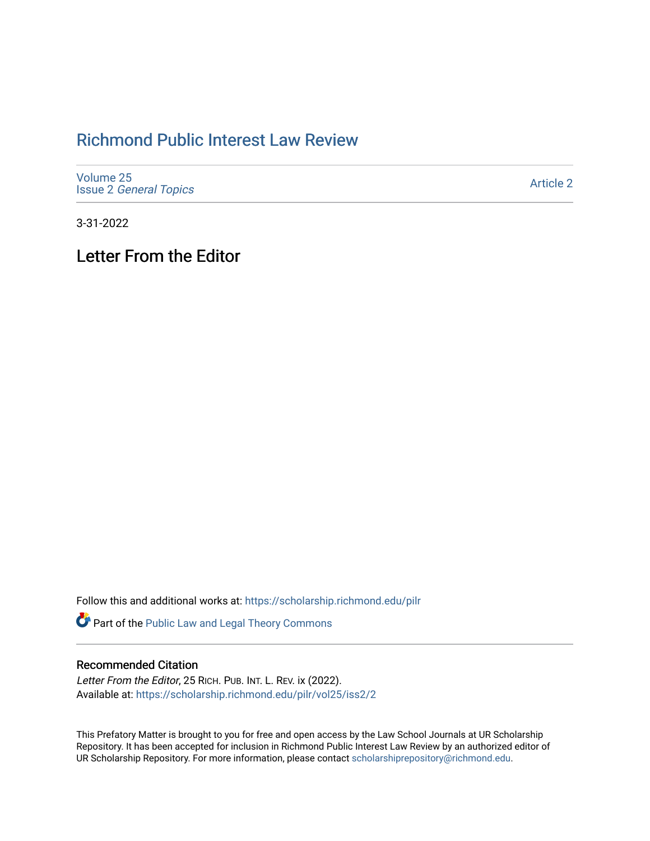## [Richmond Public Interest Law Review](https://scholarship.richmond.edu/pilr)

| Volume 25                     |  |
|-------------------------------|--|
| <b>Issue 2 General Topics</b> |  |

[Article 2](https://scholarship.richmond.edu/pilr/vol25/iss2/2) 

3-31-2022

Letter From the Editor

Follow this and additional works at: [https://scholarship.richmond.edu/pilr](https://scholarship.richmond.edu/pilr?utm_source=scholarship.richmond.edu%2Fpilr%2Fvol25%2Fiss2%2F2&utm_medium=PDF&utm_campaign=PDFCoverPages) 

Part of the [Public Law and Legal Theory Commons](http://network.bepress.com/hgg/discipline/871?utm_source=scholarship.richmond.edu%2Fpilr%2Fvol25%2Fiss2%2F2&utm_medium=PDF&utm_campaign=PDFCoverPages) 

## Recommended Citation

Letter From the Editor, 25 RICH. PUB. INT. L. REV. ix (2022). Available at: [https://scholarship.richmond.edu/pilr/vol25/iss2/2](https://scholarship.richmond.edu/pilr/vol25/iss2/2?utm_source=scholarship.richmond.edu%2Fpilr%2Fvol25%2Fiss2%2F2&utm_medium=PDF&utm_campaign=PDFCoverPages)

This Prefatory Matter is brought to you for free and open access by the Law School Journals at UR Scholarship Repository. It has been accepted for inclusion in Richmond Public Interest Law Review by an authorized editor of UR Scholarship Repository. For more information, please contact [scholarshiprepository@richmond.edu](mailto:scholarshiprepository@richmond.edu).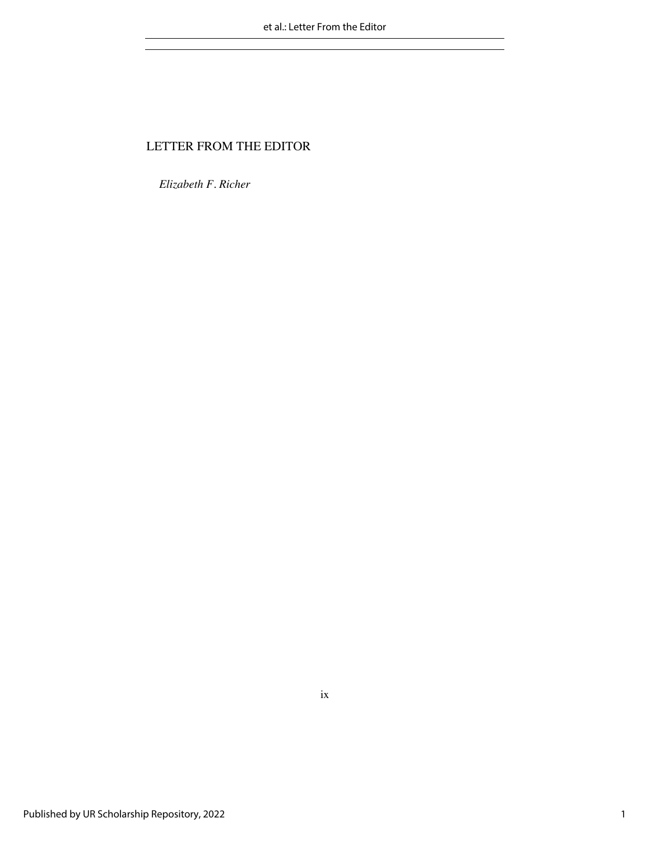## LETTER FROM THE EDITOR

*Elizabeth F. Richer*